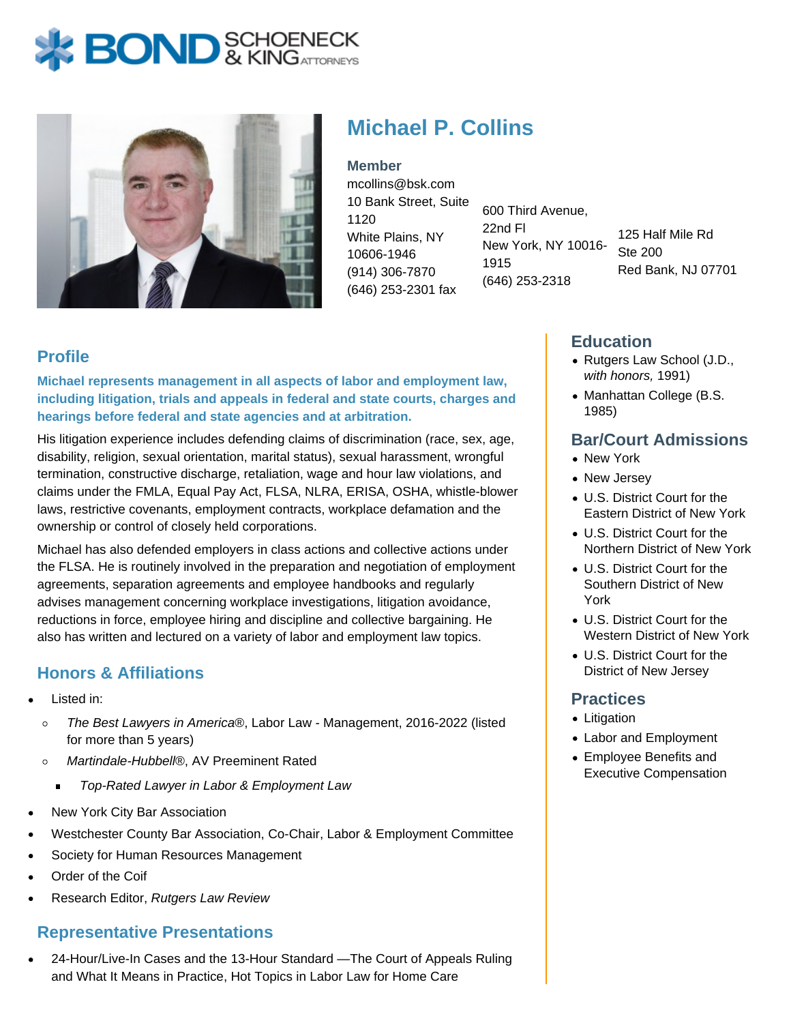# **BOND** & KINGATTORNECK



# **Michael P. Collins**

**Member** mcollins@bsk.com 10 Bank Street, Suite 1120 White Plains, NY 10606-1946 (914) 306-7870 (646) 253-2301 fax

600 Third Avenue, 22nd Fl New York, NY 10016- 1915 (646) 253-2318

125 Half Mile Rd Ste 200 Red Bank, NJ 07701

## **Profile**

**Michael represents management in all aspects of labor and employment law, including litigation, trials and appeals in federal and state courts, charges and hearings before federal and state agencies and at arbitration.**

His litigation experience includes defending claims of discrimination (race, sex, age, disability, religion, sexual orientation, marital status), sexual harassment, wrongful termination, constructive discharge, retaliation, wage and hour law violations, and claims under the FMLA, Equal Pay Act, FLSA, NLRA, ERISA, OSHA, whistle-blower laws, restrictive covenants, employment contracts, workplace defamation and the ownership or control of closely held corporations.

Michael has also defended employers in class actions and collective actions under the FLSA. He is routinely involved in the preparation and negotiation of employment agreements, separation agreements and employee handbooks and regularly advises management concerning workplace investigations, litigation avoidance, reductions in force, employee hiring and discipline and collective bargaining. He also has written and lectured on a variety of labor and employment law topics.

# **Honors & Affiliations**

- Listed in:
	- The Best Lawyers in America®, Labor Law Management, 2016-2022 (listed  $\circ$ for more than 5 years)
	- $\circ$ Martindale-Hubbell®, AV Preeminent Rated
		- Top-Rated Lawyer in Labor & Employment Law  $\blacksquare$
- New York City Bar Association
- Westchester County Bar Association, Co-Chair, Labor & Employment Committee
- Society for Human Resources Management
- Order of the Coif
- Research Editor, Rutgers Law Review

#### **Representative Presentations**

24-Hour/Live-In Cases and the 13-Hour Standard —The Court of Appeals Ruling and What It Means in Practice, Hot Topics in Labor Law for Home Care

### **Education**

- Rutgers Law School (J.D., with honors, 1991)
- Manhattan College (B.S. 1985)

#### **Bar/Court Admissions**

- New York
- New Jersey
- U.S. District Court for the Eastern District of New York
- U.S. District Court for the Northern District of New York
- U.S. District Court for the Southern District of New York
- U.S. District Court for the Western District of New York
- U.S. District Court for the District of New Jersey

#### **Practices**

- Litigation
- Labor and Employment
- Employee Benefits and Executive Compensation